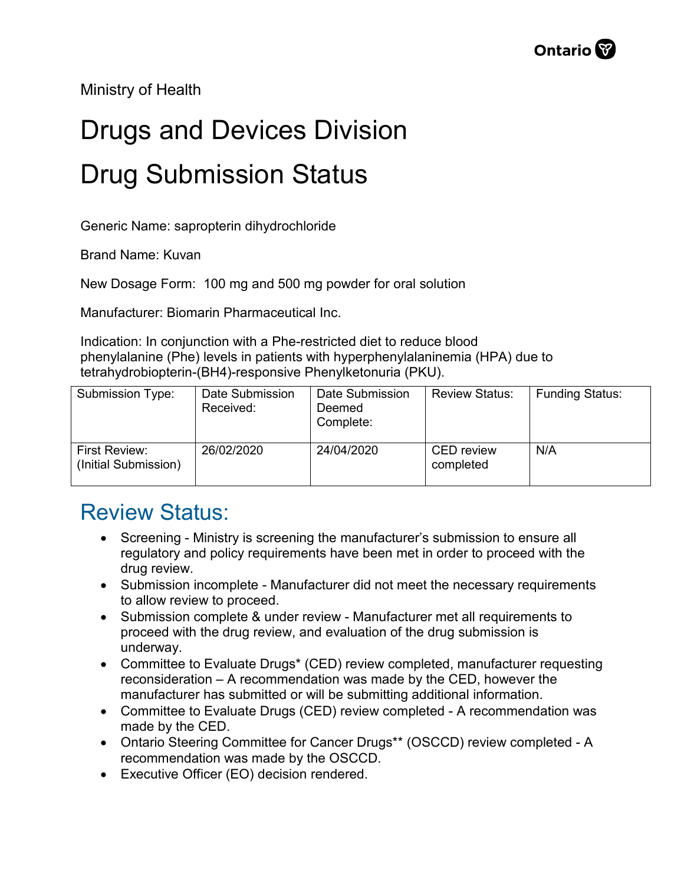Ministry of Health

## Drugs and Devices Division Drug Submission Status

Generic Name: sapropterin dihydrochloride

Brand Name: Kuvan

New Dosage Form: 100 mg and 500 mg powder for oral solution

Manufacturer: Biomarin Pharmaceutical Inc.

Indication: In conjunction with a Phe-restricted diet to reduce blood phenylalanine (Phe) levels in patients with hyperphenylalaninemia (HPA) due to tetrahydrobiopterin-(BH4)-responsive Phenylketonuria (PKU).

| Submission Type:                      | Date Submission<br>Received: | Date Submission<br>Deemed<br>Complete: | <b>Review Status:</b>          | <b>Funding Status:</b> |
|---------------------------------------|------------------------------|----------------------------------------|--------------------------------|------------------------|
| First Review:<br>(Initial Submission) | 26/02/2020                   | 24/04/2020                             | <b>CED</b> review<br>completed | N/A                    |

## Review Status:

- Screening Ministry is screening the manufacturer's submission to ensure all regulatory and policy requirements have been met in order to proceed with the drug review.
- Submission incomplete Manufacturer did not meet the necessary requirements to allow review to proceed.
- Submission complete & under review Manufacturer met all requirements to proceed with the drug review, and evaluation of the drug submission is underway.
- Committee to Evaluate Drugs\* (CED) review completed, manufacturer requesting reconsideration – A recommendation was made by the CED, however the manufacturer has submitted or will be submitting additional information.
- Committee to Evaluate Drugs (CED) review completed A recommendation was made by the CED.
- Ontario Steering Committee for Cancer Drugs\*\* (OSCCD) review completed A recommendation was made by the OSCCD.
- Executive Officer (EO) decision rendered.